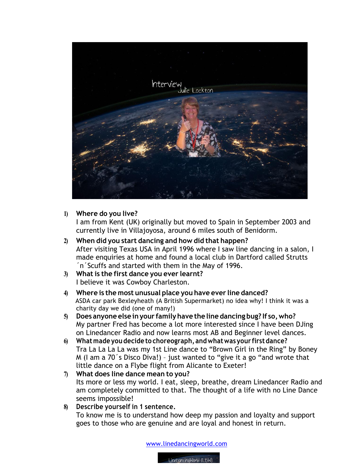

## **1) Where do you live?**

I am from Kent (UK) originally but moved to Spain in September 2003 and currently live in Villajoyosa, around 6 miles south of Benidorm.

- **2) When did you start dancing and how did that happen?** After visiting Texas USA in April 1996 where I saw line dancing in a salon, I made enquiries at home and found a local club in Dartford called Strutts ´n´Scuffs and started with them in the May of 1996.
- **3) What is the first dance you ever learnt?** I believe it was Cowboy Charleston.
- **4) Where is the most unusual place you have ever line danced?** ASDA car park Bexleyheath (A British Supermarket) no idea why! I think it was a charity day we did (one of many!)
- **5) Does anyone else inyour familyhave the line dancing bug? If so,who?** My partner Fred has become a lot more interested since I have been DJing on Linedancer Radio and now learns most AB and Beginner level dances.
- **6) Whatmade you decide to choreograph, andwhatwas your firstdance?** Tra La La La La was my 1st Line dance to "Brown Girl in the Ring" by Boney M (I am a 70´s Disco Diva!) – just wanted to "give it a go "and wrote that little dance on a Flybe flight from Alicante to Exeter!
- **7) What does line dance mean to you?** Its more or less my world. I eat, sleep, breathe, dream Linedancer Radio and am completely committed to that. The thought of a life with no Line Dance seems impossible!
- **8) Describe yourself in 1 sentence.** To know me is to understand how deep my passion and loyalty and support goes to those who are genuine and are loyal and honest in return.

www.linedancingworld.com

LineDancingWorld (LDW)